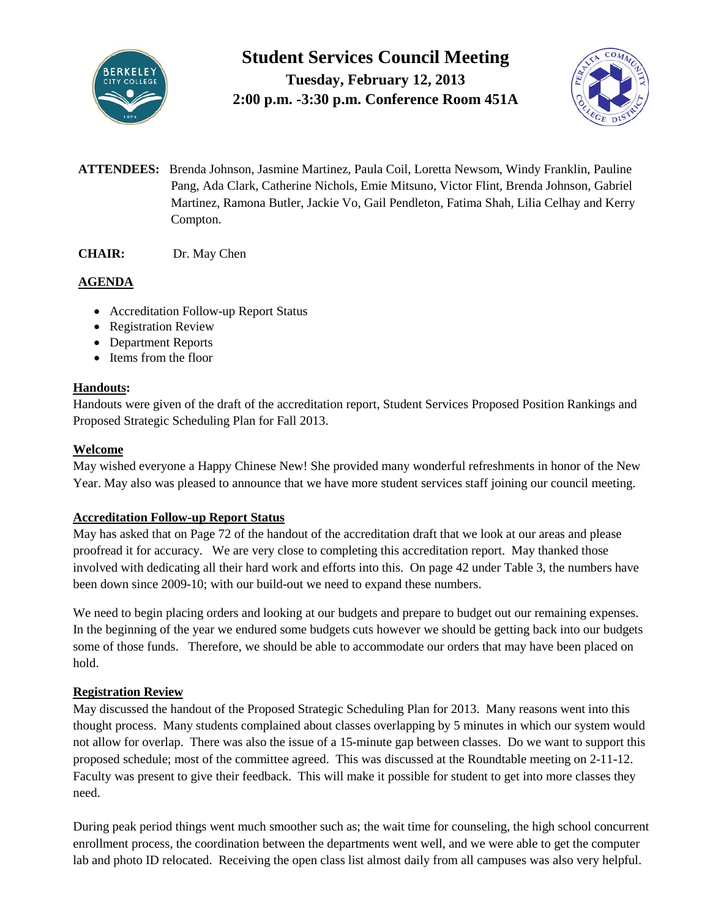

# **Student Services Council Meeting**

**Tuesday, February 12, 2013 2:00 p.m. -3:30 p.m. Conference Room 451A**



- **ATTENDEES:** Brenda Johnson, Jasmine Martinez, Paula Coil, Loretta Newsom, Windy Franklin, Pauline Pang, Ada Clark, Catherine Nichols, Emie Mitsuno, Victor Flint, Brenda Johnson, Gabriel Martinez, Ramona Butler, Jackie Vo, Gail Pendleton, Fatima Shah, Lilia Celhay and Kerry Compton.
- **CHAIR:** Dr. May Chen

## **AGENDA**

- Accreditation Follow-up Report Status
- Registration Review
- Department Reports
- Items from the floor

### **Handouts:**

Handouts were given of the draft of the accreditation report, Student Services Proposed Position Rankings and Proposed Strategic Scheduling Plan for Fall 2013.

## **Welcome**

May wished everyone a Happy Chinese New! She provided many wonderful refreshments in honor of the New Year. May also was pleased to announce that we have more student services staff joining our council meeting.

## **Accreditation Follow-up Report Status**

May has asked that on Page 72 of the handout of the accreditation draft that we look at our areas and please proofread it for accuracy. We are very close to completing this accreditation report. May thanked those involved with dedicating all their hard work and efforts into this. On page 42 under Table 3, the numbers have been down since 2009-10; with our build-out we need to expand these numbers.

We need to begin placing orders and looking at our budgets and prepare to budget out our remaining expenses. In the beginning of the year we endured some budgets cuts however we should be getting back into our budgets some of those funds. Therefore, we should be able to accommodate our orders that may have been placed on hold.

## **Registration Review**

May discussed the handout of the Proposed Strategic Scheduling Plan for 2013. Many reasons went into this thought process. Many students complained about classes overlapping by 5 minutes in which our system would not allow for overlap. There was also the issue of a 15-minute gap between classes. Do we want to support this proposed schedule; most of the committee agreed. This was discussed at the Roundtable meeting on 2-11-12. Faculty was present to give their feedback. This will make it possible for student to get into more classes they need.

During peak period things went much smoother such as; the wait time for counseling, the high school concurrent enrollment process, the coordination between the departments went well, and we were able to get the computer lab and photo ID relocated. Receiving the open class list almost daily from all campuses was also very helpful.